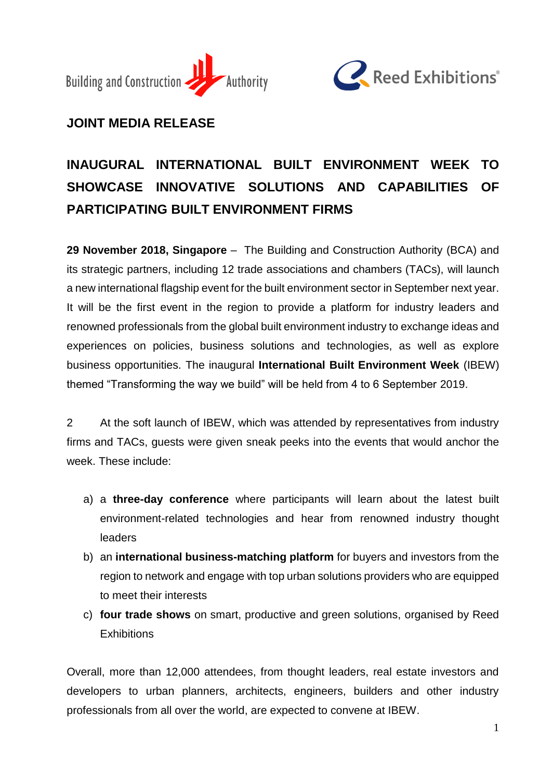



# **JOINT MEDIA RELEASE**

# **INAUGURAL INTERNATIONAL BUILT ENVIRONMENT WEEK TO SHOWCASE INNOVATIVE SOLUTIONS AND CAPABILITIES OF PARTICIPATING BUILT ENVIRONMENT FIRMS**

**29 November 2018, Singapore** – The Building and Construction Authority (BCA) and its strategic partners, including 12 trade associations and chambers (TACs), will launch a new international flagship event for the built environment sector in September next year. It will be the first event in the region to provide a platform for industry leaders and renowned professionals from the global built environment industry to exchange ideas and experiences on policies, business solutions and technologies, as well as explore business opportunities. The inaugural **International Built Environment Week** (IBEW) themed "Transforming the way we build" will be held from 4 to 6 September 2019.

2 At the soft launch of IBEW, which was attended by representatives from industry firms and TACs, guests were given sneak peeks into the events that would anchor the week. These include:

- a) a **three-day conference** where participants will learn about the latest built environment-related technologies and hear from renowned industry thought leaders
- b) an **international business-matching platform** for buyers and investors from the region to network and engage with top urban solutions providers who are equipped to meet their interests
- c) **four trade shows** on smart, productive and green solutions, organised by Reed **Exhibitions**

Overall, more than 12,000 attendees, from thought leaders, real estate investors and developers to urban planners, architects, engineers, builders and other industry professionals from all over the world, are expected to convene at IBEW.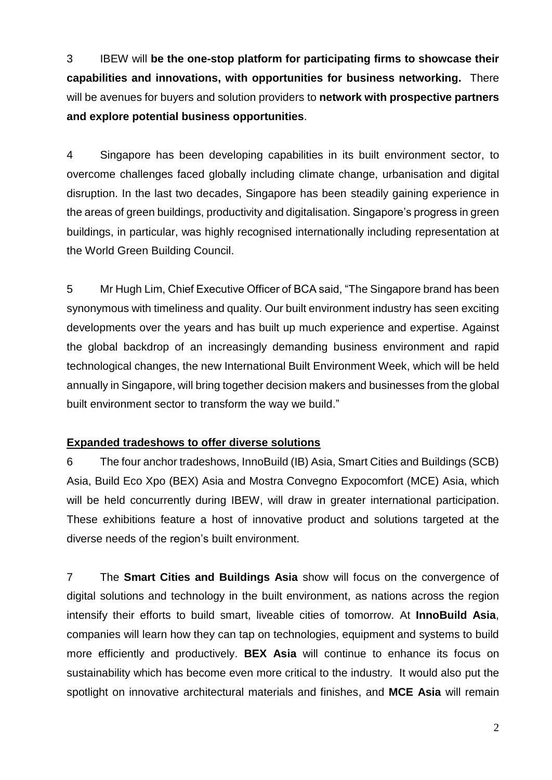3 IBEW will **be the one-stop platform for participating firms to showcase their capabilities and innovations, with opportunities for business networking.** There will be avenues for buyers and solution providers to **network with prospective partners and explore potential business opportunities**.

4 Singapore has been developing capabilities in its built environment sector, to overcome challenges faced globally including climate change, urbanisation and digital disruption. In the last two decades, Singapore has been steadily gaining experience in the areas of green buildings, productivity and digitalisation. Singapore's progress in green buildings, in particular, was highly recognised internationally including representation at the World Green Building Council.

5 Mr Hugh Lim, Chief Executive Officer of BCA said, "The Singapore brand has been synonymous with timeliness and quality. Our built environment industry has seen exciting developments over the years and has built up much experience and expertise. Against the global backdrop of an increasingly demanding business environment and rapid technological changes, the new International Built Environment Week, which will be held annually in Singapore, will bring together decision makers and businesses from the global built environment sector to transform the way we build."

# **Expanded tradeshows to offer diverse solutions**

6 The four anchor tradeshows, InnoBuild (IB) Asia, Smart Cities and Buildings (SCB) Asia, Build Eco Xpo (BEX) Asia and Mostra Convegno Expocomfort (MCE) Asia, which will be held concurrently during IBEW, will draw in greater international participation. These exhibitions feature a host of innovative product and solutions targeted at the diverse needs of the region's built environment.

7 The **Smart Cities and Buildings Asia** show will focus on the convergence of digital solutions and technology in the built environment, as nations across the region intensify their efforts to build smart, liveable cities of tomorrow. At **InnoBuild Asia**, companies will learn how they can tap on technologies, equipment and systems to build more efficiently and productively. **BEX Asia** will continue to enhance its focus on sustainability which has become even more critical to the industry. It would also put the spotlight on innovative architectural materials and finishes, and **MCE Asia** will remain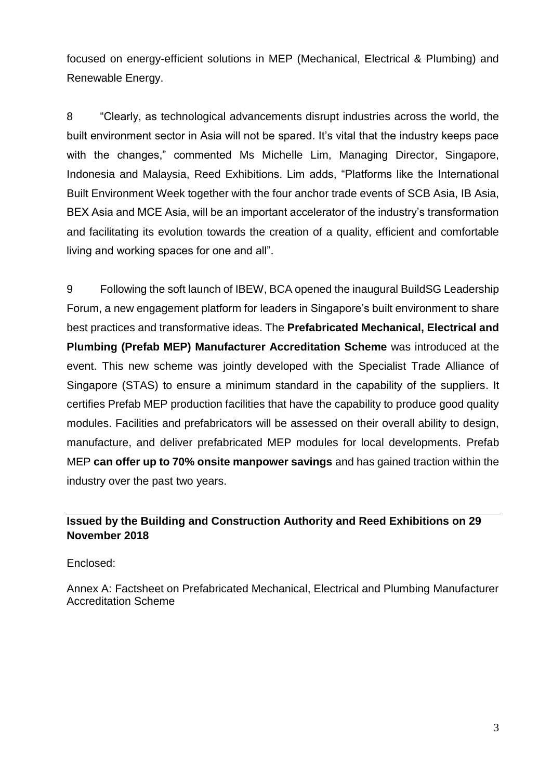focused on energy-efficient solutions in MEP (Mechanical, Electrical & Plumbing) and Renewable Energy.

8 "Clearly, as technological advancements disrupt industries across the world, the built environment sector in Asia will not be spared. It's vital that the industry keeps pace with the changes," commented Ms Michelle Lim, Managing Director, Singapore, Indonesia and Malaysia, Reed Exhibitions. Lim adds, "Platforms like the International Built Environment Week together with the four anchor trade events of SCB Asia, IB Asia, BEX Asia and MCE Asia, will be an important accelerator of the industry's transformation and facilitating its evolution towards the creation of a quality, efficient and comfortable living and working spaces for one and all".

9 Following the soft launch of IBEW, BCA opened the inaugural BuildSG Leadership Forum, a new engagement platform for leaders in Singapore's built environment to share best practices and transformative ideas. The **Prefabricated Mechanical, Electrical and Plumbing (Prefab MEP) Manufacturer Accreditation Scheme** was introduced at the event. This new scheme was jointly developed with the Specialist Trade Alliance of Singapore (STAS) to ensure a minimum standard in the capability of the suppliers. It certifies Prefab MEP production facilities that have the capability to produce good quality modules. Facilities and prefabricators will be assessed on their overall ability to design, manufacture, and deliver prefabricated MEP modules for local developments. Prefab MEP **can offer up to 70% onsite manpower savings** and has gained traction within the industry over the past two years.

# **Issued by the Building and Construction Authority and Reed Exhibitions on 29 November 2018**

Enclosed:

Annex A: Factsheet on Prefabricated Mechanical, Electrical and Plumbing Manufacturer Accreditation Scheme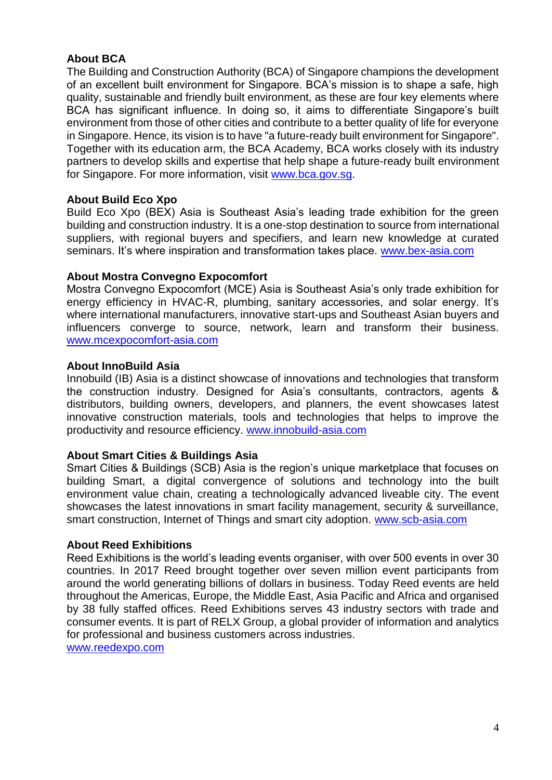# **About BCA**

The Building and Construction Authority (BCA) of Singapore champions the development of an excellent built environment for Singapore. BCA's mission is to shape a safe, high quality, sustainable and friendly built environment, as these are four key elements where BCA has significant influence. In doing so, it aims to differentiate Singapore's built environment from those of other cities and contribute to a better quality of life for everyone in Singapore. Hence, its vision is to have "a future-ready built environment for Singapore". Together with its education arm, the BCA Academy, BCA works closely with its industry partners to develop skills and expertise that help shape a future-ready built environment for Singapore. For more information, visit [www.bca.gov.sg.](http://www.bca.gov.sg/)

#### **About Build Eco Xpo**

Build Eco Xpo (BEX) Asia is Southeast Asia's leading trade exhibition for the green building and construction industry. It is a one-stop destination to source from international suppliers, with regional buyers and specifiers, and learn new knowledge at curated seminars. It's where inspiration and transformation takes place. [www.bex-asia.com](http://www.bex-asia.com/)

#### **About Mostra Convegno Expocomfort**

Mostra Convegno Expocomfort (MCE) Asia is Southeast Asia's only trade exhibition for energy efficiency in HVAC-R, plumbing, sanitary accessories, and solar energy. It's where international manufacturers, innovative start-ups and Southeast Asian buyers and influencers converge to source, network, learn and transform their business. [www.mcexpocomfort-asia.com](http://www.mcexpocomfort-asia.com/)

#### **About InnoBuild Asia**

Innobuild (IB) Asia is a distinct showcase of innovations and technologies that transform the construction industry. Designed for Asia's consultants, contractors, agents & distributors, building owners, developers, and planners, the event showcases latest innovative construction materials, tools and technologies that helps to improve the productivity and resource efficiency. [www.innobuild-asia.com](http://www.innobuild-asia.com/)

#### **About Smart Cities & Buildings Asia**

Smart Cities & Buildings (SCB) Asia is the region's unique marketplace that focuses on building Smart, a digital convergence of solutions and technology into the built environment value chain, creating a technologically advanced liveable city. The event showcases the latest innovations in smart facility management, security & surveillance, smart construction, Internet of Things and smart city adoption. [www.scb-asia.com](http://www.scb-asia.com/)

#### **About Reed Exhibitions**

Reed Exhibitions is the world's leading events organiser, with over 500 events in over 30 countries. In 2017 Reed brought together over seven million event participants from around the world generating billions of dollars in business. Today Reed events are held throughout the Americas, Europe, the Middle East, Asia Pacific and Africa and organised by 38 fully staffed offices. Reed Exhibitions serves 43 industry sectors with trade and consumer events. It is part of RELX Group, a global provider of information and analytics for professional and business customers across industries.

[www.reedexpo.com](http://www.reedexpo.com/)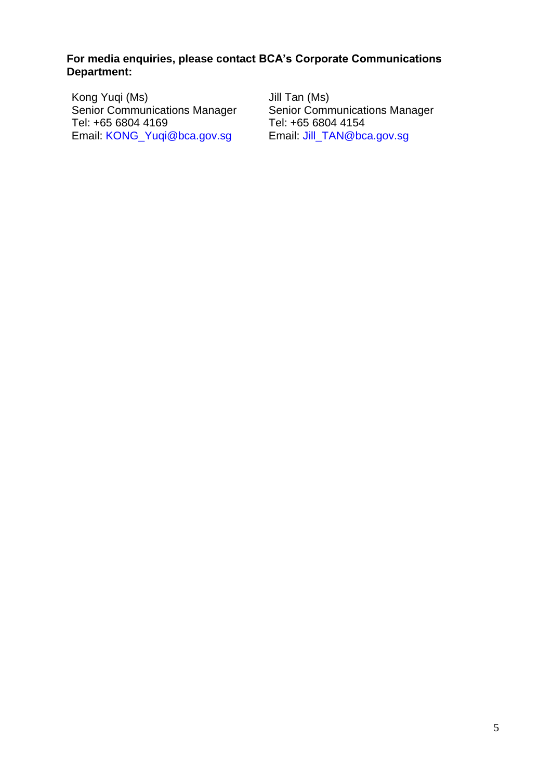# **For media enquiries, please contact BCA's Corporate Communications Department:**

Kong Yuqi (Ms) Senior Communications Manager Tel: +65 6804 4169 Email: [KONG\\_Yuqi@bca.gov.sg](mailto:KONG_Yuqi@bca.gov.sg) Jill Tan (Ms) Senior Communications Manager Tel: +65 6804 4154 Email: Jill\_TAN@bca.gov.sg